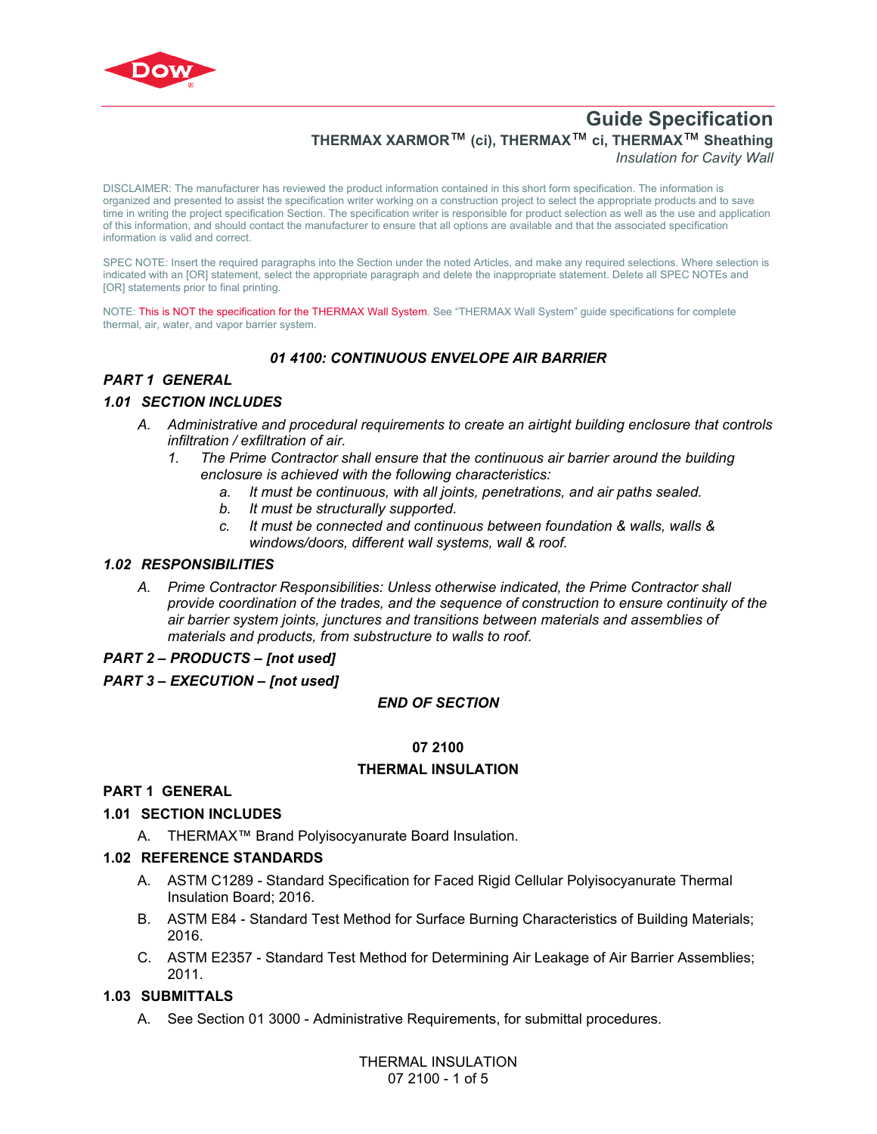

# **Guide Specification THERMAX XARMOR**™ **(ci), THERMAX**™ **ci, THERMAX**™ **Sheathing**  *Insulation for Cavity Wall*

DISCLAIMER: The manufacturer has reviewed the product information contained in this short form specification. The information is organized and presented to assist the specification writer working on a construction project to select the appropriate products and to save time in writing the project specification Section. The specification writer is responsible for product selection as well as the use and application of this information, and should contact the manufacturer to ensure that all options are available and that the associated specification information is valid and correct.

SPEC NOTE: Insert the required paragraphs into the Section under the noted Articles, and make any required selections. Where selection is indicated with an [OR] statement, select the appropriate paragraph and delete the inappropriate statement. Delete all SPEC NOTEs and [OR] statements prior to final printing.

NOTE: This is NOT the specification for the THERMAX Wall System. See "THERMAX Wall System" guide specifications for complete thermal, air, water, and vapor barrier system.

# *01 4100: CONTINUOUS ENVELOPE AIR BARRIER*

# *PART 1 GENERAL*

### *1.01 SECTION INCLUDES*

- *A. Administrative and procedural requirements to create an airtight building enclosure that controls infiltration / exfiltration of air.*
	- *1. The Prime Contractor shall ensure that the continuous air barrier around the building enclosure is achieved with the following characteristics:*
		- *a. It must be continuous, with all joints, penetrations, and air paths sealed.*
		- *b. It must be structurally supported.*
		- *c. It must be connected and continuous between foundation & walls, walls & windows/doors, different wall systems, wall & roof.*

#### *1.02 RESPONSIBILITIES*

*A. Prime Contractor Responsibilities: Unless otherwise indicated, the Prime Contractor shall provide coordination of the trades, and the sequence of construction to ensure continuity of the air barrier system joints, junctures and transitions between materials and assemblies of materials and products, from substructure to walls to roof.* 

#### *PART 2 – PRODUCTS – [not used]*

### *PART 3 – EXECUTION – [not used]*

#### *END OF SECTION*

### **07 2100**

#### **THERMAL INSULATION**

#### **PART 1 GENERAL**

#### **1.01 SECTION INCLUDES**

A. THERMAX™ Brand Polyisocyanurate Board Insulation.

#### **1.02 REFERENCE STANDARDS**

- A. [ASTM C1289](http://global.ihs.com/doc_detail.cfm?rid=BSD&document_name=ASTM%20C1289) Standard Specification for Faced Rigid Cellular Polyisocyanurate Thermal Insulation Board; 2016.
- B. [ASTM E84](https://global.ihs.com/doc_detail.cfm?rid=BSD&document_name=ASTM%20E84) Standard Test Method for Surface Burning Characteristics of Building Materials; 2016.
- C. [ASTM E2357](http://global.ihs.com/doc_detail.cfm?rid=BSD&document_name=ASTM%20E2357) Standard Test Method for Determining Air Leakage of Air Barrier Assemblies; 2011.

#### **1.03 SUBMITTALS**

A. See Section 01 3000 - Administrative Requirements, for submittal procedures.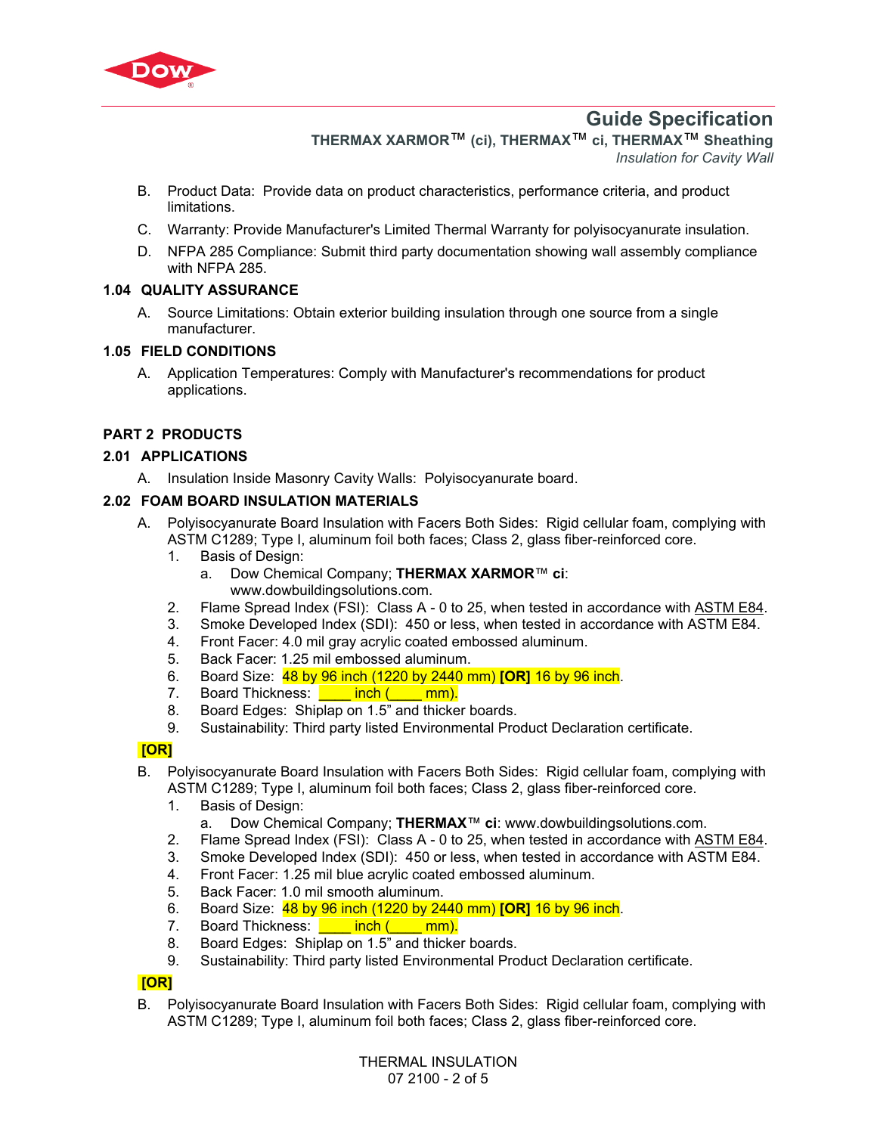

# **Guide Specification**

**THERMAX XARMOR**™ **(ci), THERMAX**™ **ci, THERMAX**™ **Sheathing** 

*Insulation for Cavity Wall*

- B. Product Data: Provide data on product characteristics, performance criteria, and product limitations.
- C. Warranty: Provide Manufacturer's Limited Thermal Warranty for polyisocyanurate insulation.
- D. NFPA 285 Compliance: Submit third party documentation showing wall assembly compliance with NFPA 285.

# **1.04 QUALITY ASSURANCE**

A. Source Limitations: Obtain exterior building insulation through one source from a single manufacturer.

# **1.05 FIELD CONDITIONS**

A. Application Temperatures: Comply with Manufacturer's recommendations for product applications.

# **PART 2 PRODUCTS**

### **2.01 APPLICATIONS**

A. Insulation Inside Masonry Cavity Walls: Polyisocyanurate board.

### **2.02 FOAM BOARD INSULATION MATERIALS**

- A. Polyisocyanurate Board Insulation with Facers Both Sides: Rigid cellular foam, complying with [ASTM C1289](http://global.ihs.com/doc_detail.cfm?rid=BSD&document_name=ASTM%20C1289); Type I, aluminum foil both faces; Class 2, glass fiber-reinforced core.
	- 1. Basis of Design:
		- a. Dow Chemical Company; **THERMAX XARMOR**™ **ci**: www.dowbuildingsolutions.com.
	- 2. Flame Spread Index (FSI): Class A 0 to 25, when tested in accordance with [ASTM E84.](https://global.ihs.com/doc_detail.cfm?rid=BSD&document_name=ASTM%20E84)
	- 3. Smoke Developed Index (SDI): 450 or less, when tested in accordance with [ASTM E84.](https://global.ihs.com/doc_detail.cfm?rid=BSD&document_name=ASTM%20E84)
	- 4. Front Facer: 4.0 mil gray acrylic coated embossed aluminum.
	- 5. Back Facer: 1.25 mil embossed aluminum.
	- 6. Board Size: 48 by 96 inch (1220 by 2440 mm) **[OR]** 16 by 96 inch.
	- 7. Board Thickness: **\_\_\_\_\_ inch (\_\_\_\_ mm).**
	- 8. Board Edges: Shiplap on 1.5" and thicker boards.
	- 9. Sustainability: Third party listed Environmental Product Declaration certificate.

### **[OR]**

- B. Polyisocyanurate Board Insulation with Facers Both Sides: Rigid cellular foam, complying with [ASTM C1289](http://global.ihs.com/doc_detail.cfm?rid=BSD&document_name=ASTM%20C1289); Type I, aluminum foil both faces; Class 2, glass fiber-reinforced core.
	- 1. Basis of Design:
		- a. Dow Chemical Company; **THERMAX**™ **ci**: www.dowbuildingsolutions.com.
	- 2. Flame Spread Index (FSI): Class A 0 to 25, when tested in accordance with [ASTM E84.](https://global.ihs.com/doc_detail.cfm?rid=BSD&document_name=ASTM%20E84)
	- 3. Smoke Developed Index (SDI): 450 or less, when tested in accordance with [ASTM E84.](https://global.ihs.com/doc_detail.cfm?rid=BSD&document_name=ASTM%20E84)
	- 4. Front Facer: 1.25 mil blue acrylic coated embossed aluminum.
	- 5. Back Facer: 1.0 mil smooth aluminum.
	- 6. Board Size: 48 by 96 inch (1220 by 2440 mm) **[OR]** 16 by 96 inch.
	- 7. Board Thickness: **Later inch (Later mm).**
	- 8. Board Edges: Shiplap on 1.5" and thicker boards.
	- 9. Sustainability: Third party listed Environmental Product Declaration certificate.

### **[OR]**

B. Polyisocyanurate Board Insulation with Facers Both Sides: Rigid cellular foam, complying with [ASTM C1289](http://global.ihs.com/doc_detail.cfm?rid=BSD&document_name=ASTM%20C1289); Type I, aluminum foil both faces; Class 2, glass fiber-reinforced core.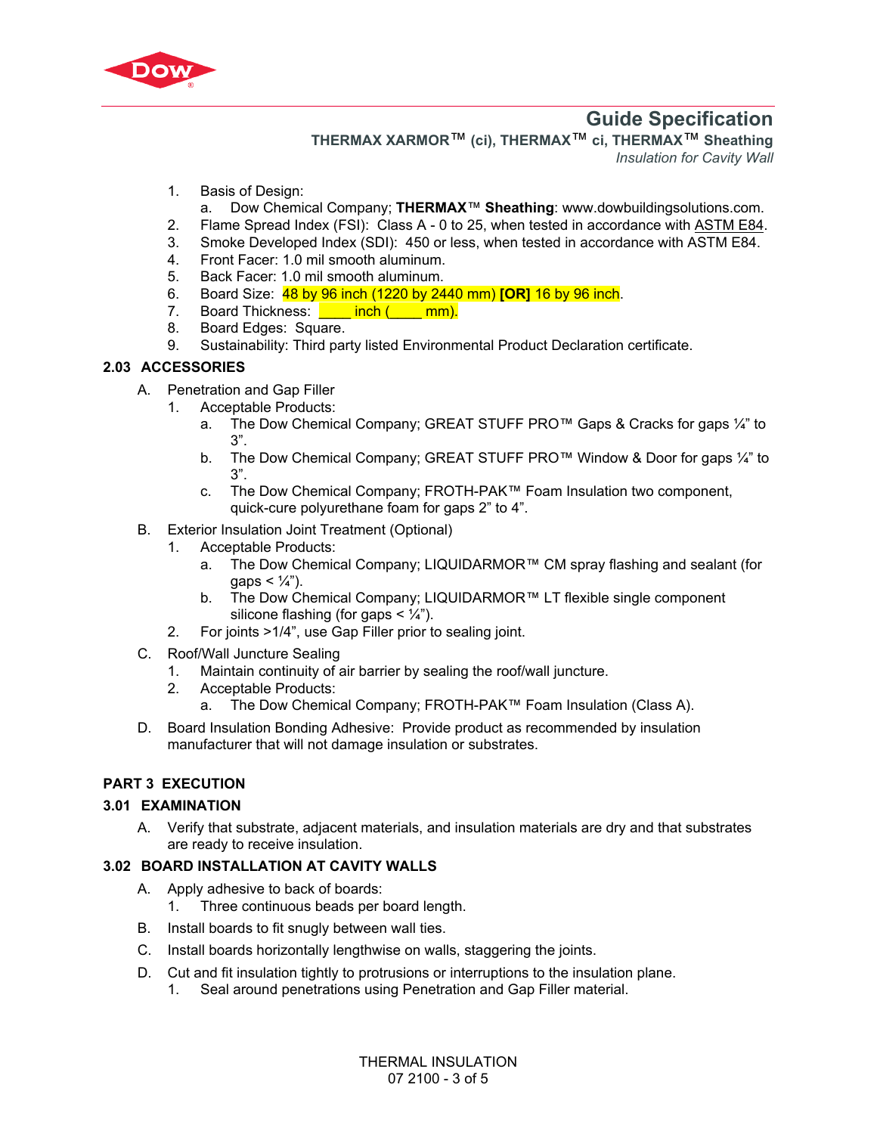

# **Guide Specification**

**THERMAX XARMOR**™ **(ci), THERMAX**™ **ci, THERMAX**™ **Sheathing** 

*Insulation for Cavity Wall*

- 1. Basis of Design:
- a. Dow Chemical Company; **THERMAX**™ **Sheathing**: www.dowbuildingsolutions.com.
- 2. Flame Spread Index (FSI): Class A 0 to 25, when tested in accordance with [ASTM E84.](https://global.ihs.com/doc_detail.cfm?rid=BSD&document_name=ASTM%20E84)
- 3. Smoke Developed Index (SDI): 450 or less, when tested in accordance with [ASTM E84.](https://global.ihs.com/doc_detail.cfm?rid=BSD&document_name=ASTM%20E84)
- 4. Front Facer: 1.0 mil smooth aluminum.
- 5. Back Facer: 1.0 mil smooth aluminum.
- 6. Board Size: 48 by 96 inch (1220 by 2440 mm) **[OR]** 16 by 96 inch.
- 7. Board Thickness: **\_\_\_\_\_ inch (\_\_\_\_ mm).**
- 8. Board Edges: Square.
- 9. Sustainability: Third party listed Environmental Product Declaration certificate.

### **2.03 ACCESSORIES**

- A. Penetration and Gap Filler
	- 1. Acceptable Products:
		- a. The Dow Chemical Company; GREAT STUFF PRO™ Gaps & Cracks for gaps ¼" to 3".
		- b. The Dow Chemical Company; GREAT STUFF PRO™ Window & Door for gaps ¼" to 3".
		- c. The Dow Chemical Company; FROTH-PAK™ Foam Insulation two component, quick-cure polyurethane foam for gaps 2" to 4".
- B. Exterior Insulation Joint Treatment (Optional)
	- 1. Acceptable Products:
		- a. The Dow Chemical Company; LIQUIDARMOR™ CM spray flashing and sealant (for gaps  $< 1/4$ ").
		- b. The Dow Chemical Company; LIQUIDARMOR™ LT flexible single component silicone flashing (for gaps  $\lt' \frac{1}{4}$ ).
	- 2. For joints >1/4", use Gap Filler prior to sealing joint.
- C. Roof/Wall Juncture Sealing
	- 1. Maintain continuity of air barrier by sealing the roof/wall juncture.
	- 2. Acceptable Products:
		- a. The Dow Chemical Company; FROTH-PAK™ Foam Insulation (Class A).
- D. Board Insulation Bonding Adhesive: Provide product as recommended by insulation manufacturer that will not damage insulation or substrates.

### **PART 3 EXECUTION**

### **3.01 EXAMINATION**

A. Verify that substrate, adjacent materials, and insulation materials are dry and that substrates are ready to receive insulation.

### **3.02 BOARD INSTALLATION AT CAVITY WALLS**

- A. Apply adhesive to back of boards:
	- 1. Three continuous beads per board length.
- B. Install boards to fit snugly between wall ties.
- C. Install boards horizontally lengthwise on walls, staggering the joints.
- D. Cut and fit insulation tightly to protrusions or interruptions to the insulation plane.
	- 1. Seal around penetrations using Penetration and Gap Filler material.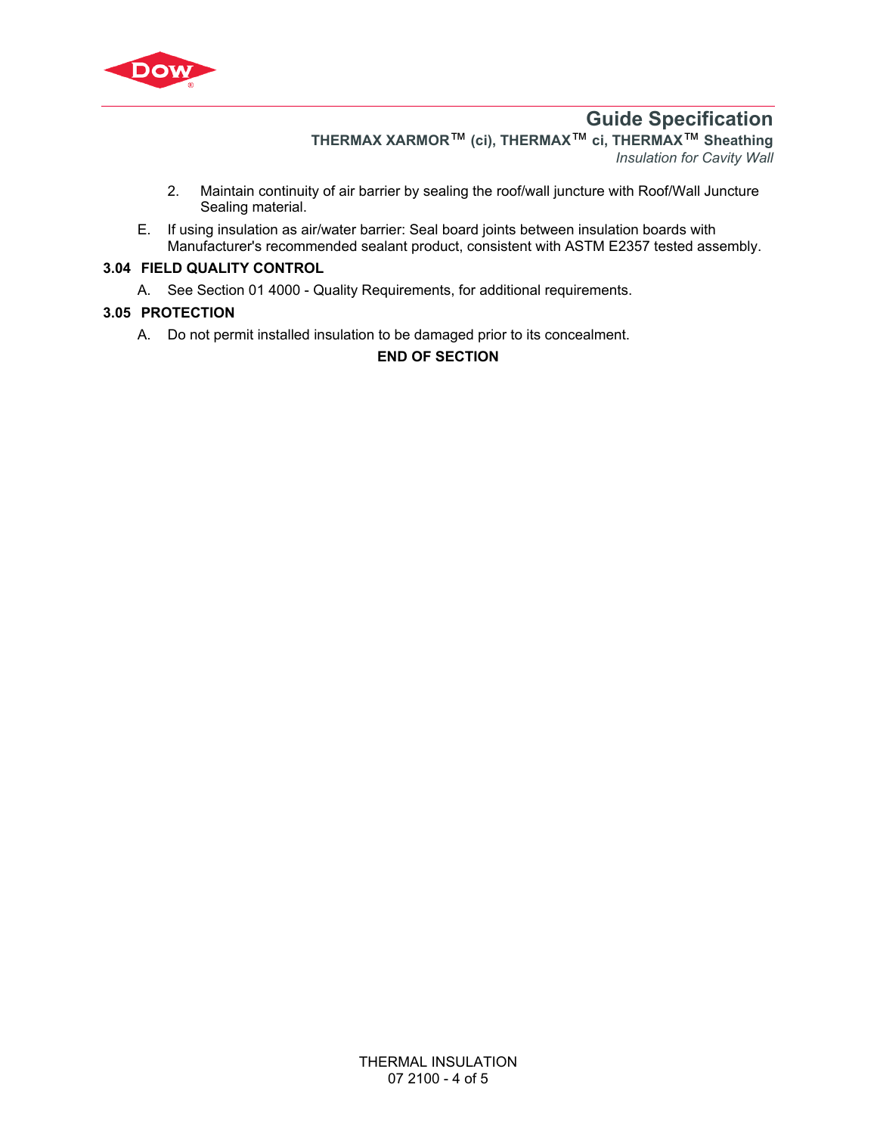

# **Guide Specification**

**THERMAX XARMOR**™ **(ci), THERMAX**™ **ci, THERMAX**™ **Sheathing**  *Insulation for Cavity Wall*

- 2. Maintain continuity of air barrier by sealing the roof/wall juncture with Roof/Wall Juncture Sealing material.
- E. If using insulation as air/water barrier: Seal board joints between insulation boards with Manufacturer's recommended sealant product, consistent with [ASTM E2357](http://global.ihs.com/doc_detail.cfm?rid=BSD&document_name=ASTM%20E2357) tested assembly.

## **3.04 FIELD QUALITY CONTROL**

A. See Section 01 4000 - Quality Requirements, for additional requirements.

# **3.05 PROTECTION**

A. Do not permit installed insulation to be damaged prior to its concealment.

# **END OF SECTION**